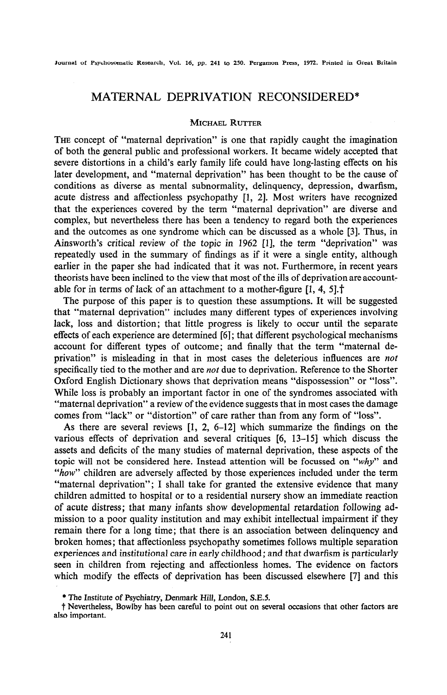# **MATERNAL DEPRIVATION RECONSIDER.ED\***

### **MICHAEL RUTTER**

THE concept of "maternal deprivation" is one that rapidly caught the imagination of both the general public and professional workers. It became widely accepted that severe distortions in a child's early family life could have long-lasting effects on his later development, and "maternal deprivation" has been thought to be the cause of conditions as diverse as mental subnormality, delinquency, depression, dwarfism, acute distress and affectionless psychopathy  $[1, 2]$ . Most writers have recognized that the experiences covered by the term "maternal deprivation" are diverse and complex, but nevertheless there has been a tendency to regard both the experiences and the outcomes as one syndrome which can be discussed as a whole [3]. Thus, in Ainsworth's critical review of the topic in 1962 [l], the term "deprivation" was repeatedly used in the summary of findings as if it were a single entity, although earlier in the paper she had indicated that it was not. Furthermore, in recent years theorists have been inclined to the view that most of the ills of deprivation are accountable for in terms of lack of an attachment to a mother-figure  $[1, 4, 5]$ .<sup>†</sup>

The purpose of this paper is to question these assumptions. It will be suggested that "maternal deprivation" includes many different types of experiences involving lack, loss and distortion; that little progress is likely to occur until the separate effects of each experience are determined [6J; that different psychological mechanisms account for different types of outcome; and finally that the term "maternal deprivation" is misleading in that in most cases the deleterious influences are *not*  specifically tied to the mother and are not due to deprivation. Reference to the Shorter Oxford English Dictionary shows that deprivation means "dispossession" or "loss". While loss is probably an important factor in one of the syndromes associated with "maternal deprivation" a review of the evidence suggests that in most cases the damage comes from "lack" or "distortion" of care rather than from any form of "loss".

As there are several reviews  $\begin{bmatrix} 1, 2, 6-12 \end{bmatrix}$  which summarize the findings on the various effects of deprivation and several critiques [6, 13-151 which discuss the assets and deficits of the many studies of maternal deprivation, these aspects of the topic will not be considered here. Instead attention will be focussed on "why" and "how" children are adversely affected by those experiences included under the term "maternal deprivation"; I shall take for granted the extensive evidence that many children admitted to hospital or to a residential nursery show an immediate reaction of acute distress; that many infants show developmental retardation following admission to a poor quality institution and may exhibit intellectual impairment if they remain there for a long time; that there is an association between delinquency and broken homes; that affectionless psychopathy sometimes follows multiple separation experiences and institutional care in early childhood; and that dwarfism is particularly seen in children from rejecting and affectionless homes. The evidence on factors which modify the effects of deprivation has been discussed elsewhere [7] and this

<sup>\*</sup> The Institute of Psychiatry, Denmark Hill, London, S.E.5.

t Nevertheless, Bowlby has been careful to point out on several occasions that other factors are also important.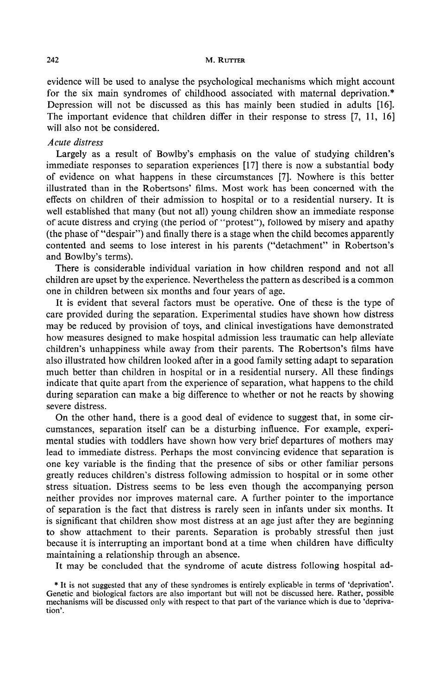evidence wiI1 be used to analyse the psychological mechanisms which might account for the six main syndromes of childhood associated with maternal deprivation.\* Depression will not be discussed as this has mainly been studied in adults [16]. The important evidence that children differ in their response to stress [7, 11, 16] will also not be considered.

### *Acute distress*

Largely as a result of Bowlby's emphasis on the value of studying children's immediate responses to separation experiences [17] there is now a substantial body of evidence on what happens in these circumstances [7]. Nowhere is this better illustrated than in the Robertsons' films. Most work has been concerned with the effects on children of their admission to hospital or to a residential nursery. It is well established that many (but not all) young children show an immediate response of acute distress and crying (the period of "protest"), followed by misery and apathy (the phase of "despair") and finally there is a stage when the child becomes apparently contented and seems to lose interest in his parents ("detachment" in Robertson's and Bowlby's terms).

There is considerable individual variation in how children respond and not all children are upset by the experience. Nevertheless the pattern as described is a common one in children between six months and four years of age.

It is evident that several factors must be operative. One of these is the type of care provided during the separation. Experimental studies have shown how distress may be reduced by provision of toys, and clinical investigations have demonstrated how measures designed to make hospital admission less traumatic can help alleviate children's unhappiness while away from their parents. The Robertson's films have also illustrated how children looked after in a good family setting adapt to separation much better than children in hospital or in a residential nursery. All these findings indicate that quite apart from the experience of separation, what happens to the child during separation can make a big difference to whether or not he reacts by showing severe distress.

On the other hand, there is a good deal of evidence to suggest that, in some circumstances, separation itself can be a disturbing influence. For example, experimental studies with toddlers have shown how very brief departures of mothers may lead to immediate distress. Perhaps the most convincing evidence that separation is one key variable is the finding that the presence of sibs or other familiar persons greatly reduces children's distress following admission to hospital or in some other stress situation. Distress seems to be less even though the accompanying person neither provides nor improves maternal care. A further pointer to the importance of separation is the fact that distress is rarely seen in infants under six months. It is significant that children show most distress at an age just after they are beginning to show attachment to their parents. Separation is probably stressful then just because it is interrupting an important bond at a time when children have difficulty maintaining a relationship through an absence.

It may be concluded that the syndrome of acute distress following hospital ad-

<sup>\*</sup> It is not suggested that any of these syndromes is entirely explicable in terms of 'deprivation'. Genetic and biological factors are also important but will not be discussed here. Rather, possible mechanisms will be discussed only with respect to that part of the variance which is due to 'deprivation'.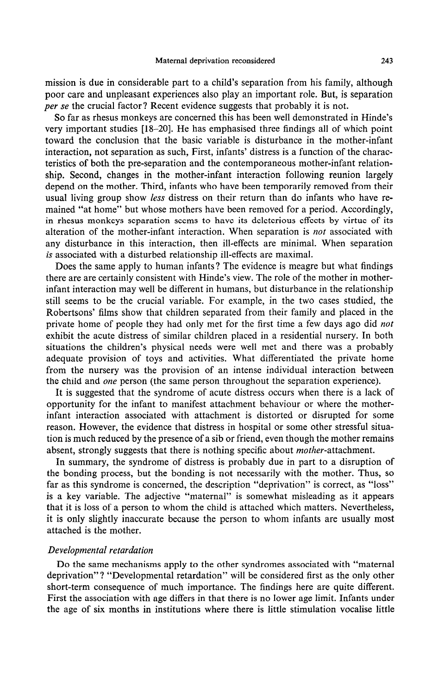mission is due in considerable part to a child's separation from his family, although poor care and unpleasant experiences also play an important role. But, is separation per se the crucial factor? Recent evidence suggests that probably it is not.

So far as rhesus monkeys are concerned this has been well demonstrated in Hinde's very important studies [18-201. He has emphasised three findings all of which point toward the conclusion that the basic variable is disturbance in the mother-infant interaction, not separation as such, First, infants' distress is a function of the characteristics of both the pre-separation and the contemporaneous mother-infant relationship. Second, changes in the mother-infant interaction following reunion largely depend on the mother. Third, infants who have been temporarily removed from their usual living group show less distress on their return than do infants who have remained "at home" but whose mothers have been removed for a period. Accordingly, in rhesus monkeys separation seems to have its deleterious effects by virtue of its alteration of the mother-infant interaction. When separation is not associated with any disturbance in this interaction, then ill-effects are minimal. When separation is associated with a disturbed relationship ill-effects are maximal.

Does the same apply to human infants? The evidence is meagre but what findings there are are certainly consistent with Hinde's view. The role of the mother in motherinfant interaction may well be different in humans, but disturbance in the relationship still seems to be the crucial variable. For example, in the two cases studied, the Robertsons' films show that children separated from their family and placed in the private home of people they had only met for the first time a few days ago did *not*  exhibit the acute distress of similar children placed in a residential nursery. In both situations the children's physical needs were well met and there was a probably adequate provision of toys and activities. What differentiated the private home from the nursery was the provision of an intense individual interaction between the child and one person (the same person throughout the separation experience).

It is suggested that the syndrome of acute distress occurs when there is a lack of opportunity for the infant to manifest attachment behaviour or where the motherinfant interaction associated with attachment is distorted or disrupted for some reason. However, the evidence that distress in hospital or some other stressful situation is much reduced by the presence of a sib or friend, even though the mother remains absent, strongly suggests that there is nothing specific about *mother*-attachment.

In summary, the syndrome of distress is probably due in part to a disruption of the bonding process, but the bonding is not necessarily with the mother. Thus, so far as this syndrome is concerned, the description "deprivation" is correct, as "loss" is a key variable. The adjective "maternal" is somewhat misleading as it appears that it is loss of a person to whom the child is attached which matters. Nevertheless, it is only slightly inaccurate because the person to whom infants are usually most attached is the mother.

## *Developmental retardation*

Do the same mechanisms apply to the other syndromes associated with "maternal deprivation"? "Developmental retardation" will be considered first as the only other short-term consequence of much importance. The findings here are quite different. First the association with age differs in that there is no lower age limit. Infants under the age of six months in institutions where there is little stimulation vocalise little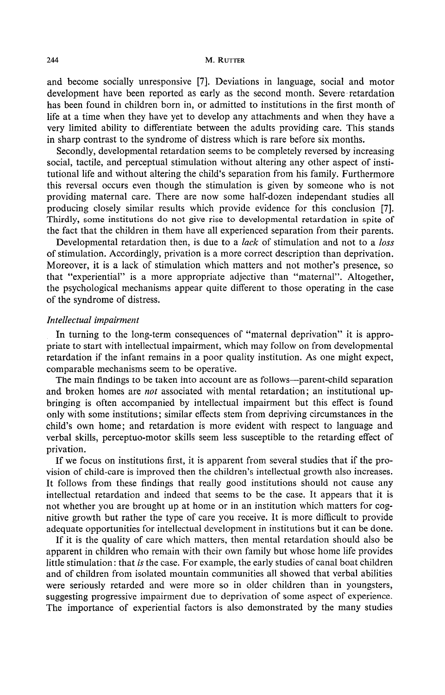and become socially unresponsive [7]. Deviations in language, social and motor development have been reported as early as the second month. Severe retardation has been found in children born in, or admitted to institutions in the first month of life at a time when they have yet to develop any attachments and when they have a very limited ability to differentiate between the adults providing care. This stands in sharp contrast to the syndrome of distress which is rare before six months.

Secondly, developmental retardation seems to be completely reversed by increasing social, tactile, and perceptual stimulation without altering any other aspect of institutional life and without altering the child's separation from his family. Furthermore this reversal occurs even though the stimulation is given by someone who is not providing maternal care. There are now some half-dozen independant studies all producing closely similar results which provide evidence for this conclusion [7]. Thirdly, some institutions do not give rise to developmental retardation in spite of the fact that the children in them have all experienced separation from their parents.

Developmental retardation then, is due to a *lack* of stimulation and not to a loss of stimulation. Accordingly, privation is a more correct description than deprivation. Moreover, it is a lack of stimulation which matters and not mother's presence, so that "experiential" is a more appropriate adjective than "maternal". Altogether, the psychological mechanisms appear quite different to those operating in the case of the syndrome of distress.

### *Intellectual impairment*

In turning to the long-term consequences of "maternal deprivation" it is appropriate to start with intellectual impairment, which may follow on from developmental retardation if the infant remains in a poor quality institution. As one might expect, comparable mechanisms seem to be operative.

The main findings to be taken into account are as follows—parent-child separation and broken homes are *not* associated with mental retardation; an institutional upbringing is often accompanied by intellectual impairment but this effect is found only with some institutions; similar effects stem from depriving circumstances in the child's own home; and retardation is more evident with respect to language and verbal skills, perceptuo-motor skills seem less susceptible to the retarding effect of privation.

If we focus on institutions first, it is apparent from several studies that if the provision of child-care is improved then the children's intellectual growth also increases. It follows from these findings that really good institutions should not cause any intellectual retardation and indeed that seems to be the case. It appears that it is not whether you are brought up at home or in an institution which matters for cognitive growth but rather the type of care you receive. It is more difficult to provide adequate opportunities for intellectual development in institutions but it can be done.

If it is the quality of care which matters, then mental retardation should also be apparent in children who remain with their own family but whose home life provides little stimulation: that *is* the case. For example, the early studies of canal boat children and of children from isolated mountain communities all showed that verbal abilities were seriously retarded and were more so in older children than in youngsters, suggesting progressive impairment due to deprivation of some aspect of experience. The importance of experiential factors is also demonstrated by the many studies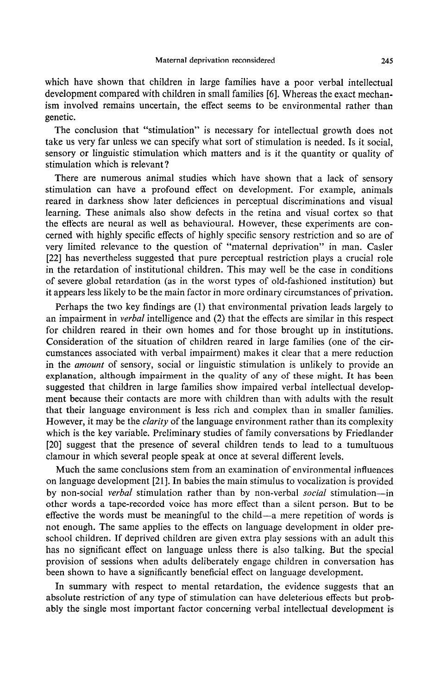which have shown that children in large families have a poor verbal intellectual development compared with children in small families [6]. Whereas the exact mechanism involved remains uncertain, the effect seems to be environmental rather than genetic.

The conclusion that "stimulation" is necessary for intellectual growth does not take us very far unless we can specify what sort of stimulation is needed. Is it social, sensory or linguistic stimulation which matters and is it the quantity or quality of stimulation which is relevant ?

There are numerous animal studies which have shown that a lack of sensory stimulation can have a profound effect on development. For example, animals reared in darkness show later deficiences in perceptual discriminations and visual learning. These animals also show defects in the retina and visual cortex so that the effects are neural as well as behavioural. However, these experiments are concerned with highly specific effects of highly specific sensory restriction and so are of very limited relevance to the question of "maternal deprivation" in man. Casler [22] has nevertheless suggested that pure perceptual restriction plays a crucial role in the retardation of institutional children. This may well be the case in conditions of severe global retardation (as in the worst types of old-fashioned institution) but it appears less likely to be the main factor in more ordinary circumstances of privation.

Perhaps the two key findings are (1) that environmental privation leads largely to an impairment in *verbal* intelligence and (2) that the effects are similar in this respect for children reared in their own homes and for those brought up in institutions. Consideration of the situation of children reared in large families (one of the circumstances associated with verbal impairment) makes it clear that a mere reduction in the *amount* of sensory, social or linguistic stimulation is unlikely to provide an explanation, although impairment in the quality of any of these might. It has been suggested that children in large families show impaired verbal intellectual development because their contacts are more with children than with adults with the result that their language environment is less rich and complex than in smaller families. However, it may be the *clarity* of the language environment rather than its complexity which is the key variable. Preliminary studies of family conversations by Friedlander [20] suggest that the presence of several children tends to lead to a tumultuous clamour in which several people speak at once at several different levels.

Much the same conclusions stem from an examination of environmental influences on language development [21]. In babies the main stimulus to vocalization is provided by non-social *verbal* stimulation rather than by non-verbal *social* stimulation-in other words a tape-recorded voice has more effect than a silent person. But to be effective the words must be meaningful to the child-a mere repetition of words is not enough. The same applies to the effects on language development in older preschool children. If deprived children are given extra play sessions with an adult this has no significant effect on language unless there is also talking. But the special provision of sessions when adults deliberately engage children in conversation has been shown to have a significantly beneficial effect on language development.

In summary with respect to mental retardation, the evidence suggests that an absolute restriction of any type of stimulation can have deleterious effects but probably the single most important factor concerning verbal intellectual development is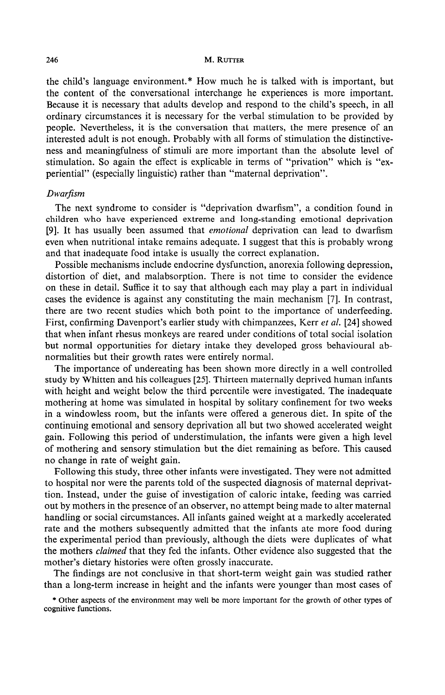the child's language environment. \* How much he is talked with is important, but the content of the conversational interchange he experiences is more important. Because it is necessary that adults develop and respond to the child's speech, in all ordinary circumstances it is necessary for the verbal stimulation to be provided by people. Nevertheless, it is the conversation that matters, the mere presence of an interested adult is not enough. Probably with all forms of stimulation the distinctiveness and meaningfulness of stimuli are more important than the absolute level of stimulation. So again the effect is explicable in terms of "privation" which is "experiential" (especially linguistic) rather than "maternal deprivation".

# *Dwarjism*

The next syndrome to consider is "deprivation dwarfism", a condition found in children who have experienced extreme and long-standing emotional deprivation [9]. It has usually been assumed that *emotional* deprivation can lead to dwarfism even when nutritional intake remains adequate. I suggest that this is probably wrong and that inadequate food intake is usually the correct explanation.

Possible mechanisms include endocrine dysfunction, anorexia following depression, distortion of diet, and malabsorption. There is not time to consider the evidence on these in detail. Suffice it to say that although each may play a part in individual cases the evidence is against any constituting the main mechanism [7]. In contrast, there are two recent studies which both point to the importance of underfeeding. First, confirming Davenport's earlier study with chimpanzees, Kerr *et al. [24]* showed that when infant rhesus monkeys are reared under conditions of total social isolation but normal opportunities for dietary intake they developed gross behavioural abnormalities but their growth rates were entirely normal.

The importance of undereating has been shown more directly in a well controlled study by Whitten and his colleagues [25]. Thirteen maternally deprived human infants with height and weight below the third percentile were investigated. The inadequate mothering at home was simulated in hospital by solitary confinement for two weeks in a windowless room, but the infants were offered a generous diet. In spite of the continuing emotional and sensory deprivation all but two showed accelerated weight gain. Following this period of understimulation, the infants were given a high level of mothering and sensory stimulation but the diet remaining as before. This caused no change in rate of weight gain.

Following this study, three other infants were investigated. They were not admitted to hospital nor were the parents told of the suspected diagnosis of maternal deprivattion. Instead, under the guise of investigation of caloric intake, feeding was carried out by mothers in the presence of an observer, no attempt being made to alter maternal handling or social circumstances. All infants gained weight at a markedly accelerated rate and the mothers subsequently admitted that the infants ate more food during the experimental period than previously, although the diets were duplicates of what the mothers *claimed* that they fed the infants. Other evidence also suggested that the mother's dietary histories were often grossly inaccurate.

The findings are not conclusive in that short-term weight gain was studied rather than a long-term increase in height and the infants were younger than most cases of

\* Other aspects of the environment may well be more important for the growth of other types of cognitive functions.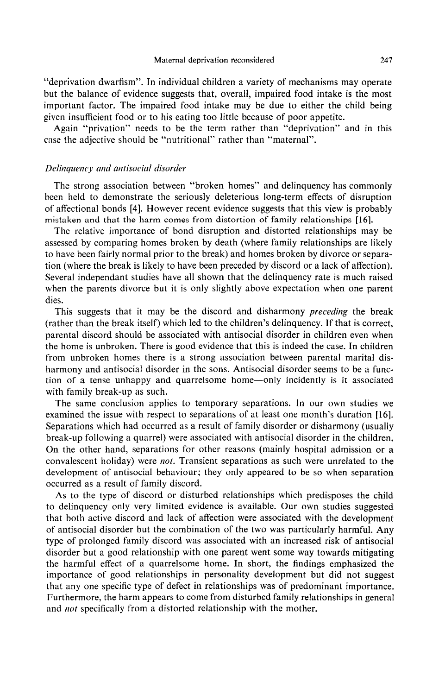"deprivation dwarfism". In individual children a variety of mechanisms may operate but the balance of evidence suggests that, overall, impaired food intake is the most important factor. The impaired food intake may be due to either the child being given insufficient food or to his eating too little because of poor appetite.

Again "privation" needs to be the term rather than "deprivation" and in this case the adjective should be "nutritional" rather than "maternal".

## *Delinquency and antisocial disorder*

The strong association between "broken homes" and delinquency has commonly been held to demonstrate the seriously deleterious long-term effects of disruption of affectional bonds [4]. However recent evidence suggests that this view is probably mistaken and that the harm comes from distortion of family relationships [16].

The relative importance of bond disruption and distorted relationships may be assessed by comparing homes broken by death (where family relationships are likely to have been fairly normal prior to the break) and homes broken by divorce or separation (where the break is likely to have been preceded by discord or a lack of affection). Several independant studies have all shown that the delinquency rate is much raised when the parents divorce but it is only slightly above expectation when one parent dies.

This suggests that it may be the discord and disharmony *preceding* the break (rather than the break itself) which led to the children's delinquency. If that is correct, parental discord should be associated with antisocial disorder in children even when the home is unbroken. There is good evidence that this is indeed the case. In children from unbroken homes there is a strong association between parental marital disharmony and antisocial disorder in the sons. Antisocial disorder seems to be a function of a tense unhappy and quarrelsome home-only incidently is it associated with family break-up as such.

The same conclusion applies to temporary separations. In our own studies we examined the issue with respect to separations of at least one month's duration [16]. Separations which had occurred as a result of family disorder or disharmony (usually break-up following a quarrel) were associated with antisocial disorder in the children. On the other hand, separations for other reasons (mainly hospital admission or a convalescent holiday) were *not.* Transient separations as such were unrelated to the development of antisocial behaviour; they only appeared to be so when separation occurred as a result of family discord.

As to the type of discord or disturbed relationships which predisposes the child to delinquency only very limited evidence is available. Our own studies suggested that both active discord and lack of affection were associated with the development of antisocial disorder but the combination of the two was particularly harmful. Any type of prolonged family discord was associated with an increased risk of antisocial disorder but a good relationship with one parent went some way towards mitigating the harmful effect of a quarrelsome home. In short, the findings emphasized the importance of good relationships in personality development but did not suggest that any one specific type of defect in relationships was of predominant importance. Furthermore, the harm appears to come from disturbed family relationships in general and *not* specifically from a distorted relationship with the mother.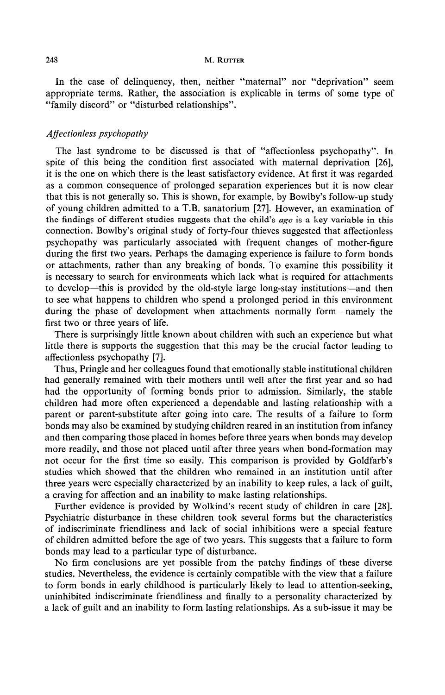In the case of delinquency, then, neither "maternal" nor "deprivation" seem appropriate terms. Rather, the association is explicable in terms of some type of "family discord" or "disturbed relationships".

# *Affectionless psychopathy*

The last syndrome to be discussed is that of "affectionless psychopathy". In spite of this being the condition first associated with maternal deprivation [26], it is the one on which there is the least satisfactory evidence. At first it was regarded as a common consequence of prolonged separation experiences but it is now clear that this is not generally so. This is shown, for example, by Bowlby's follow-up study of young children admitted to a T.B. sanatorium [27]. However, an examination of the findings of different studies suggests that the child's *age* is a key variable in this connection. Bowlby's original study of forty-four thieves suggested that affectionless psychopathy was particularly associated with frequent changes of mother-figure during the first two years. Perhaps the damaging experience is failure to form bonds or attachments, rather than any breaking of bonds. To examine this possibility it is necessary to search for environments which lack what is required for attachments to develop-this is provided by the old-style large long-stay institutions-and then to see what happens to children who spend a prolonged period in this environment during the phase of development when attachments normally form-namely the first two or three years of life.

There is surprisingly little known about children with such an experience but what little there is supports the suggestion that this may be the crucial factor leading to affectionless psychopathy [7].

Thus, Pringle and her colleagues found that emotionally stable institutional children had generally remained with their mothers until well after the first year and so had had the opportunity of forming bonds prior to admission. Similarly, the stable children had more often experienced a dependable and lasting relationship with a parent or parent-substitute after going into care. The results of a failure to form bonds may also be examined by studying children reared in an institution from infancy and then comparing those placed in homes before three years when bonds may develop more readily, and those not placed until after three years when bond-formation may not occur for the first time so easily. This comparison is provided by Goldfarb's studies which showed that the children who remained in an institution until after three years were especially characterized by an inability to keep rules, a lack of guilt, a craving for affection and an inability to make lasting relationships.

Further evidence is provided by Wolkind's recent study of children in care [28]. Psychiatric disturbance in these children took several forms but the characteristics of indiscriminate friendliness and lack of social inhibitions were a special feature of children admitted before the age of two years. This suggests that a failure to form bonds may lead to a particular type of disturbance.

No firm conclusions are yet possible from the patchy findings of these diverse studies. Nevertheless, the evidence is certainly compatible with the view that a failure to form bonds in early childhood is particularly likely to lead to attention-seeking, uninhibited indiscriminate friendliness and finally to a personality characterized by a lack of guilt and an inability to form lasting relationships. As a sub-issue it may be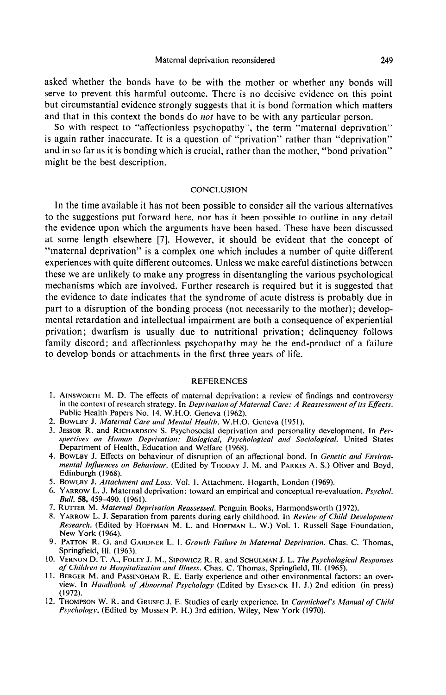asked whether the bonds have to be with the mother or whether any bonds will serve to prevent this harmful outcome. There is no decisive evidence on this point but circumstantial evidence strongly suggests that it is bond formation which matters and that in this context the bonds do *not* have to be with any particular person.

So with respect to "affectionless psychopathy", the term "maternal deprivation" is again rather inaccurate. It is a question of "privation" rather than "deprivation" and in so far as it is bonding which is crucial, rather than the mother, "bond privation" might be the best description.

### **CONCLUSION**

In the time available it has not been possible to consider all the various alternatives to the suggestions put forward here, nor has it been possible to outline in any detail the evidence upon which the arguments have been based. These have been discussed at some length elsewhere [7]. However, it should be evident that the concept of "maternal deprivation" is a complex one which includes a number of quite different experiences with quite different outcomes. Unless we make careful distinctions between these we are unlikely to make any progress in disentangling the various psychological mechanisms which are involved. Further research is required but it is suggested that the evidence to date indicates that the syndrome of acute distress is probably due in part to a disruption of the bonding process (not necessarily to the mother); developmental retardation and intellectual impairment are both a consequence of experiential privation; dwarfism is usually due to nutritional privation; delinquency follows family discord; and affectionless psychopathy may be the end-product of a failure to develop bonds or attachments in the first three years of life.

# **REFERENCES**

- I. AINSWORTH M. D. The effects of maternal deprivation: a review of findings and controversy in the context of research strategy. In *Deprivation of Maternal Care: .4 Reassessment of its effects.*  Public Health Papers No. *14.* W.H.O. Geneva (1962).
- 2. BOWLBY J. *Maternal Care and Mental Health.* W.H.O. Geneva (1951).
- 3. JESSOR R. and RICHARDSON S. Psychosocial deprivation and personality development. In *Perspectives on Human Deprivation: Biological, Psychological and Sociological.* United States Department of Health, Education and Welfare (1968).
- 4. BOWLBY J. Effects on behaviour of disruption of an affectional bond. In *Genetic and Environmental Influences on Behaviour.* (Edited by THODAY J. M. and PARKES A. S.) Oliver and Boyd, Edinburgh (1968).
- 5. **BOWLBY J.** *Attachment and Loss.* Vol. 1. Attachment. Hogarth, London (1969).
- 6. YARROW L. J. Maternal deprivation: toward an empirical and conceptual re-evaluation. *Psycho/. BUN.* 58, 459-490. (1961).
- 7. RUTTER M. *Maternal Deprivation Reassessed.* Penguin Books, Harmondsworth (1972).
- 8. **YARROW** L. J. Separation from parents during early childhood. In *Review of Child Developmenr Research.* (Edited by HOFFMAN M. L. and HOFFMAN L. W.) Vol. 1. Russell Sage Foundation, New York (1964).
- 9. **PATTON R. G.** and GARDNER L. I. *Growth Failure in Maternal Deprivation.* Chas. C. Thomas, Springfield, Ill. (1963).
- IO. VERNON D. T. A., FOLEY J. M., SIPOWICZ R. R. and SCHULMAN J. L. *The Psychological Responses of Children to Hospitalization and Illness.* Chas. C. Thomas, Springfield, Ill. (1965).
- 11. BERGER M. and PASSINGHAM R. E. Early experience and other environmental factors: an overview. In *Handbook of Abnormal Psychology* (Edited by EYSENCK H. J.) 2nd edition (in press) (1972).
- 12. **THOMPSON W. R.** and **GRUSEC** J. E. Studies of early experience. In *Carmichael's Manual of Child*  Psychology, (Edited by MUSSEN P. H.) 3rd edition. Wiley, New York (1970).